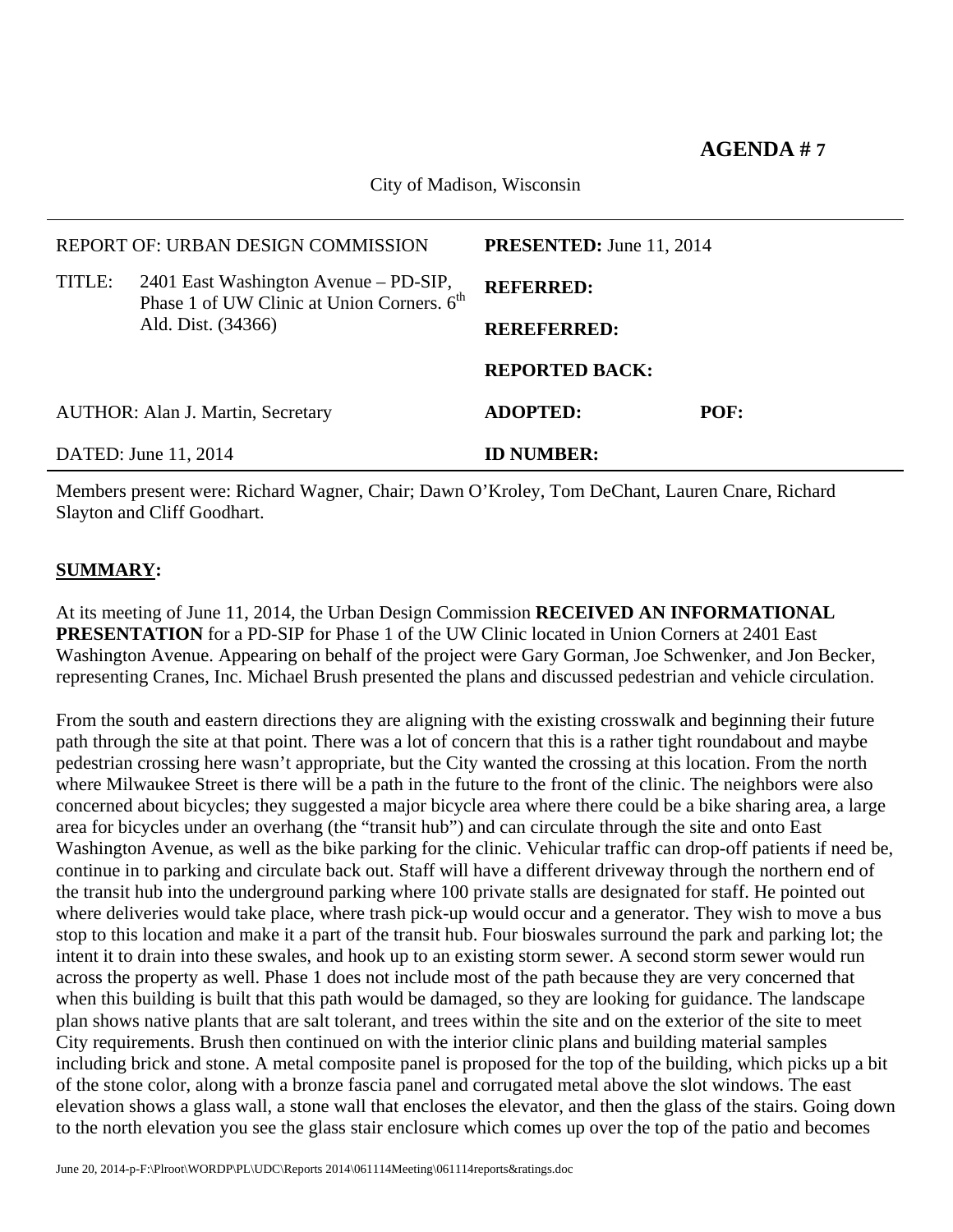## **AGENDA # 7**

City of Madison, Wisconsin

| DATED: June 11, 2014                     |                                                                                                 | <b>ID NUMBER:</b>               |      |  |
|------------------------------------------|-------------------------------------------------------------------------------------------------|---------------------------------|------|--|
| <b>AUTHOR: Alan J. Martin, Secretary</b> |                                                                                                 | <b>ADOPTED:</b>                 | POF: |  |
|                                          |                                                                                                 | <b>REPORTED BACK:</b>           |      |  |
|                                          | Ald. Dist. (34366)                                                                              | <b>REREFERRED:</b>              |      |  |
| TITLE:                                   | 2401 East Washington Avenue – PD-SIP,<br>Phase 1 of UW Clinic at Union Corners. 6 <sup>th</sup> | <b>REFERRED:</b>                |      |  |
|                                          | REPORT OF: URBAN DESIGN COMMISSION                                                              | <b>PRESENTED:</b> June 11, 2014 |      |  |
|                                          |                                                                                                 |                                 |      |  |

Members present were: Richard Wagner, Chair; Dawn O'Kroley, Tom DeChant, Lauren Cnare, Richard Slayton and Cliff Goodhart.

## **SUMMARY:**

At its meeting of June 11, 2014, the Urban Design Commission **RECEIVED AN INFORMATIONAL PRESENTATION** for a PD-SIP for Phase 1 of the UW Clinic located in Union Corners at 2401 East Washington Avenue. Appearing on behalf of the project were Gary Gorman, Joe Schwenker, and Jon Becker, representing Cranes, Inc. Michael Brush presented the plans and discussed pedestrian and vehicle circulation.

From the south and eastern directions they are aligning with the existing crosswalk and beginning their future path through the site at that point. There was a lot of concern that this is a rather tight roundabout and maybe pedestrian crossing here wasn't appropriate, but the City wanted the crossing at this location. From the north where Milwaukee Street is there will be a path in the future to the front of the clinic. The neighbors were also concerned about bicycles; they suggested a major bicycle area where there could be a bike sharing area, a large area for bicycles under an overhang (the "transit hub") and can circulate through the site and onto East Washington Avenue, as well as the bike parking for the clinic. Vehicular traffic can drop-off patients if need be, continue in to parking and circulate back out. Staff will have a different driveway through the northern end of the transit hub into the underground parking where 100 private stalls are designated for staff. He pointed out where deliveries would take place, where trash pick-up would occur and a generator. They wish to move a bus stop to this location and make it a part of the transit hub. Four bioswales surround the park and parking lot; the intent it to drain into these swales, and hook up to an existing storm sewer. A second storm sewer would run across the property as well. Phase 1 does not include most of the path because they are very concerned that when this building is built that this path would be damaged, so they are looking for guidance. The landscape plan shows native plants that are salt tolerant, and trees within the site and on the exterior of the site to meet City requirements. Brush then continued on with the interior clinic plans and building material samples including brick and stone. A metal composite panel is proposed for the top of the building, which picks up a bit of the stone color, along with a bronze fascia panel and corrugated metal above the slot windows. The east elevation shows a glass wall, a stone wall that encloses the elevator, and then the glass of the stairs. Going down to the north elevation you see the glass stair enclosure which comes up over the top of the patio and becomes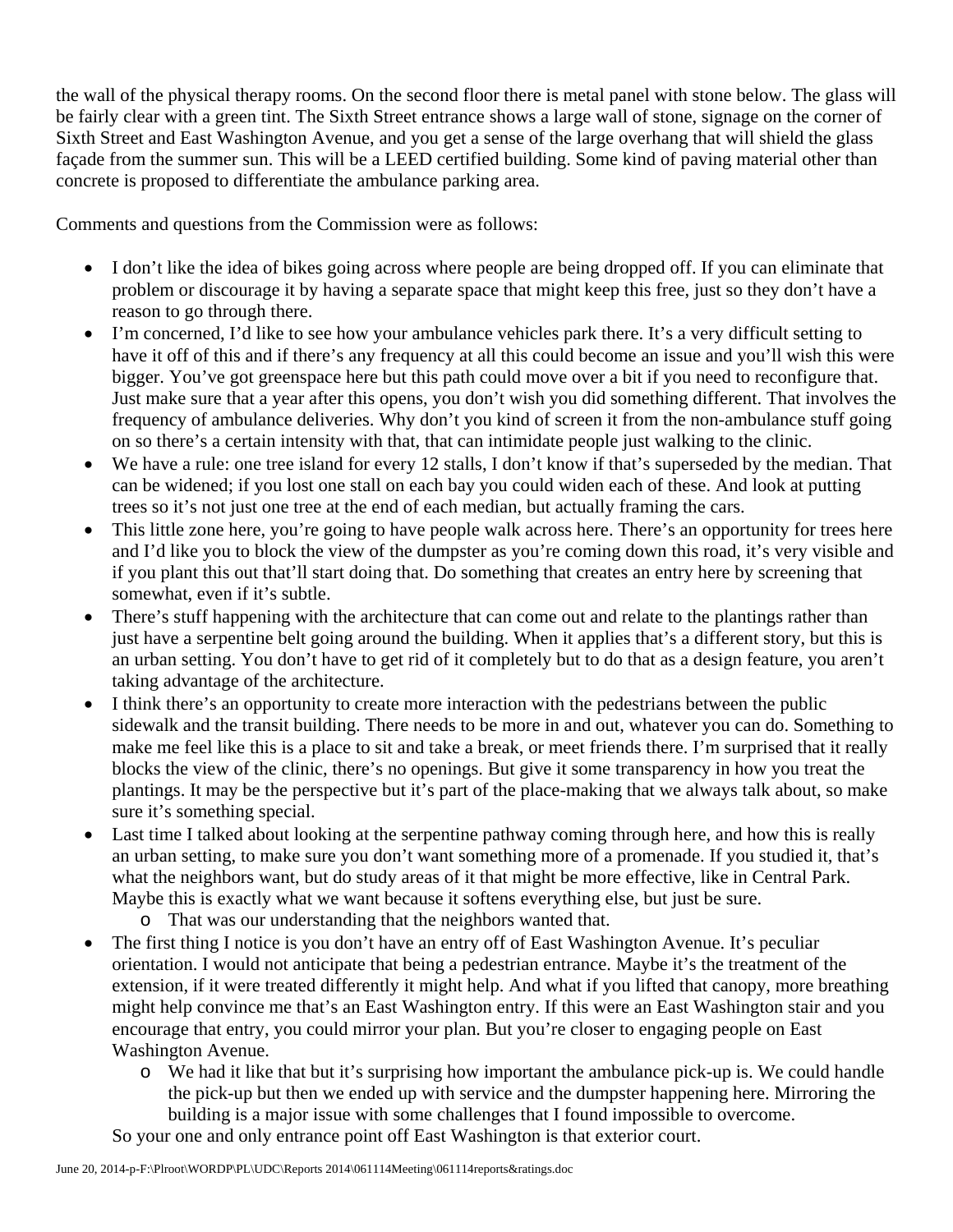the wall of the physical therapy rooms. On the second floor there is metal panel with stone below. The glass will be fairly clear with a green tint. The Sixth Street entrance shows a large wall of stone, signage on the corner of Sixth Street and East Washington Avenue, and you get a sense of the large overhang that will shield the glass façade from the summer sun. This will be a LEED certified building. Some kind of paving material other than concrete is proposed to differentiate the ambulance parking area.

Comments and questions from the Commission were as follows:

- I don't like the idea of bikes going across where people are being dropped off. If you can eliminate that problem or discourage it by having a separate space that might keep this free, just so they don't have a reason to go through there.
- I'm concerned, I'd like to see how your ambulance vehicles park there. It's a very difficult setting to have it off of this and if there's any frequency at all this could become an issue and you'll wish this were bigger. You've got greenspace here but this path could move over a bit if you need to reconfigure that. Just make sure that a year after this opens, you don't wish you did something different. That involves the frequency of ambulance deliveries. Why don't you kind of screen it from the non-ambulance stuff going on so there's a certain intensity with that, that can intimidate people just walking to the clinic.
- We have a rule: one tree island for every 12 stalls, I don't know if that's superseded by the median. That can be widened; if you lost one stall on each bay you could widen each of these. And look at putting trees so it's not just one tree at the end of each median, but actually framing the cars.
- This little zone here, you're going to have people walk across here. There's an opportunity for trees here and I'd like you to block the view of the dumpster as you're coming down this road, it's very visible and if you plant this out that'll start doing that. Do something that creates an entry here by screening that somewhat, even if it's subtle.
- There's stuff happening with the architecture that can come out and relate to the plantings rather than just have a serpentine belt going around the building. When it applies that's a different story, but this is an urban setting. You don't have to get rid of it completely but to do that as a design feature, you aren't taking advantage of the architecture.
- I think there's an opportunity to create more interaction with the pedestrians between the public sidewalk and the transit building. There needs to be more in and out, whatever you can do. Something to make me feel like this is a place to sit and take a break, or meet friends there. I'm surprised that it really blocks the view of the clinic, there's no openings. But give it some transparency in how you treat the plantings. It may be the perspective but it's part of the place-making that we always talk about, so make sure it's something special.
- Last time I talked about looking at the serpentine pathway coming through here, and how this is really an urban setting, to make sure you don't want something more of a promenade. If you studied it, that's what the neighbors want, but do study areas of it that might be more effective, like in Central Park. Maybe this is exactly what we want because it softens everything else, but just be sure.
	- o That was our understanding that the neighbors wanted that.
- The first thing I notice is you don't have an entry off of East Washington Avenue. It's peculiar orientation. I would not anticipate that being a pedestrian entrance. Maybe it's the treatment of the extension, if it were treated differently it might help. And what if you lifted that canopy, more breathing might help convince me that's an East Washington entry. If this were an East Washington stair and you encourage that entry, you could mirror your plan. But you're closer to engaging people on East Washington Avenue.
	- o We had it like that but it's surprising how important the ambulance pick-up is. We could handle the pick-up but then we ended up with service and the dumpster happening here. Mirroring the building is a major issue with some challenges that I found impossible to overcome.

So your one and only entrance point off East Washington is that exterior court.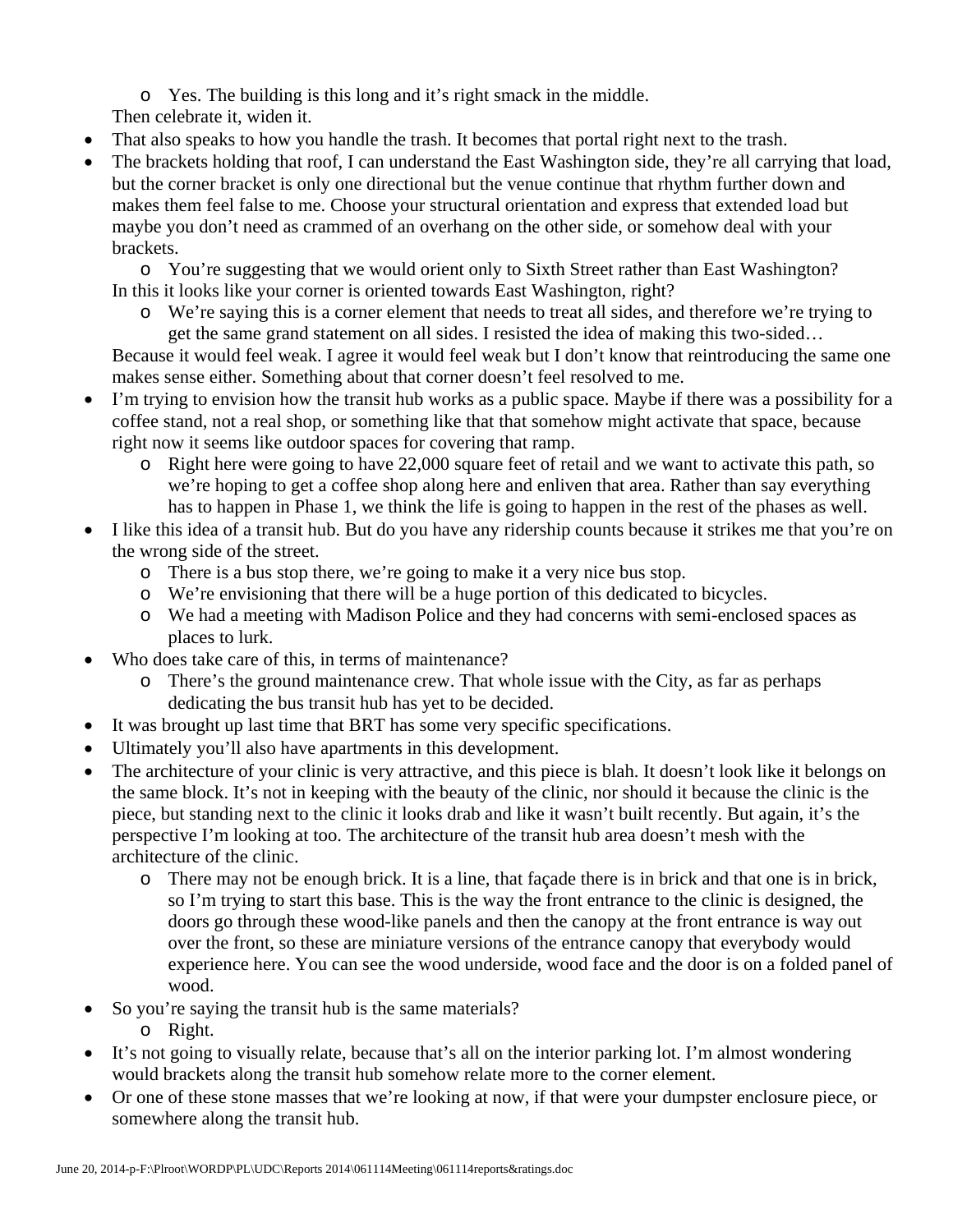o Yes. The building is this long and it's right smack in the middle.

Then celebrate it, widen it.

- That also speaks to how you handle the trash. It becomes that portal right next to the trash.
- The brackets holding that roof, I can understand the East Washington side, they're all carrying that load, but the corner bracket is only one directional but the venue continue that rhythm further down and makes them feel false to me. Choose your structural orientation and express that extended load but maybe you don't need as crammed of an overhang on the other side, or somehow deal with your brackets.

o You're suggesting that we would orient only to Sixth Street rather than East Washington? In this it looks like your corner is oriented towards East Washington, right?

o We're saying this is a corner element that needs to treat all sides, and therefore we're trying to get the same grand statement on all sides. I resisted the idea of making this two-sided…

Because it would feel weak. I agree it would feel weak but I don't know that reintroducing the same one makes sense either. Something about that corner doesn't feel resolved to me.

- I'm trying to envision how the transit hub works as a public space. Maybe if there was a possibility for a coffee stand, not a real shop, or something like that that somehow might activate that space, because right now it seems like outdoor spaces for covering that ramp.
	- o Right here were going to have 22,000 square feet of retail and we want to activate this path, so we're hoping to get a coffee shop along here and enliven that area. Rather than say everything has to happen in Phase 1, we think the life is going to happen in the rest of the phases as well.
- I like this idea of a transit hub. But do you have any ridership counts because it strikes me that you're on the wrong side of the street.
	- o There is a bus stop there, we're going to make it a very nice bus stop.
	- o We're envisioning that there will be a huge portion of this dedicated to bicycles.
	- o We had a meeting with Madison Police and they had concerns with semi-enclosed spaces as places to lurk.
- Who does take care of this, in terms of maintenance?
	- o There's the ground maintenance crew. That whole issue with the City, as far as perhaps dedicating the bus transit hub has yet to be decided.
- It was brought up last time that BRT has some very specific specifications.
- Ultimately you'll also have apartments in this development.
- The architecture of your clinic is very attractive, and this piece is blah. It doesn't look like it belongs on the same block. It's not in keeping with the beauty of the clinic, nor should it because the clinic is the piece, but standing next to the clinic it looks drab and like it wasn't built recently. But again, it's the perspective I'm looking at too. The architecture of the transit hub area doesn't mesh with the architecture of the clinic.
	- o There may not be enough brick. It is a line, that façade there is in brick and that one is in brick, so I'm trying to start this base. This is the way the front entrance to the clinic is designed, the doors go through these wood-like panels and then the canopy at the front entrance is way out over the front, so these are miniature versions of the entrance canopy that everybody would experience here. You can see the wood underside, wood face and the door is on a folded panel of wood.
- So you're saying the transit hub is the same materials?
	- o Right.
- It's not going to visually relate, because that's all on the interior parking lot. I'm almost wondering would brackets along the transit hub somehow relate more to the corner element.
- Or one of these stone masses that we're looking at now, if that were your dumpster enclosure piece, or somewhere along the transit hub.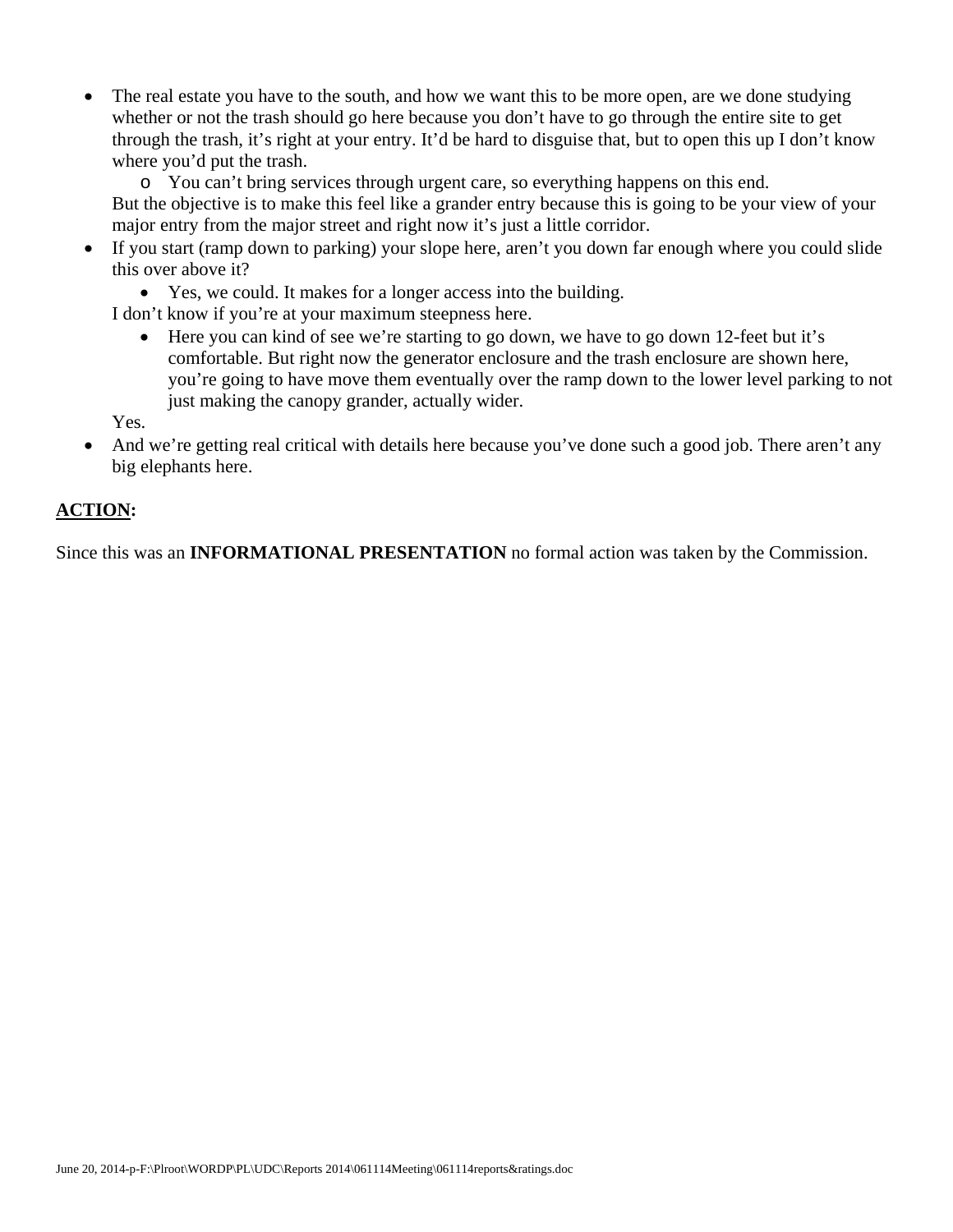- The real estate you have to the south, and how we want this to be more open, are we done studying whether or not the trash should go here because you don't have to go through the entire site to get through the trash, it's right at your entry. It'd be hard to disguise that, but to open this up I don't know where you'd put the trash.
	- o You can't bring services through urgent care, so everything happens on this end. But the objective is to make this feel like a grander entry because this is going to be your view of your major entry from the major street and right now it's just a little corridor.
- If you start (ramp down to parking) your slope here, aren't you down far enough where you could slide this over above it?
	- Yes, we could. It makes for a longer access into the building.

I don't know if you're at your maximum steepness here.

 Here you can kind of see we're starting to go down, we have to go down 12-feet but it's comfortable. But right now the generator enclosure and the trash enclosure are shown here, you're going to have move them eventually over the ramp down to the lower level parking to not just making the canopy grander, actually wider.

Yes.

 And we're getting real critical with details here because you've done such a good job. There aren't any big elephants here.

## **ACTION:**

Since this was an **INFORMATIONAL PRESENTATION** no formal action was taken by the Commission.